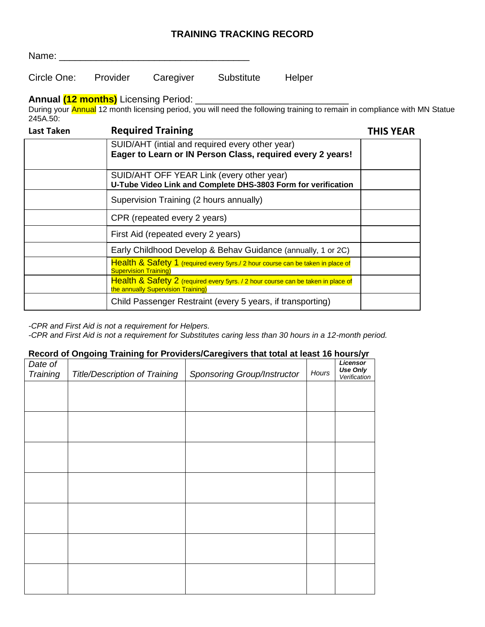## **TRAINING TRACKING RECORD**

| Name:       |          |           |            |        |  |
|-------------|----------|-----------|------------|--------|--|
| Circle One: | Provider | Caregiver | Substitute | Helper |  |

**Annual (12 months)** Licensing Period: \_\_\_\_\_\_\_\_\_\_\_\_\_\_\_\_\_\_\_\_\_\_\_\_\_\_\_\_\_

During your Annual 12 month licensing period, you will need the following training to remain in compliance with MN Statue 245A.50:

| <b>Last Taken</b> | <b>Required Training</b>                                                                                               |  |
|-------------------|------------------------------------------------------------------------------------------------------------------------|--|
|                   | SUID/AHT (intial and required every other year)<br>Eager to Learn or IN Person Class, required every 2 years!          |  |
|                   | SUID/AHT OFF YEAR Link (every other year)<br>U-Tube Video Link and Complete DHS-3803 Form for verification             |  |
|                   | Supervision Training (2 hours annually)                                                                                |  |
|                   | CPR (repeated every 2 years)                                                                                           |  |
|                   | First Aid (repeated every 2 years)                                                                                     |  |
|                   | Early Childhood Develop & Behav Guidance (annually, 1 or 2C)                                                           |  |
|                   | Health & Safety 1 (required every 5yrs./ 2 hour course can be taken in place of<br><b>Supervision Training)</b>        |  |
|                   | Health & Safety 2 (required every 5yrs. / 2 hour course can be taken in place of<br>the annually Supervision Training) |  |
|                   | Child Passenger Restraint (every 5 years, if transporting)                                                             |  |

*-CPR and First Aid is not a requirement for Helpers.*

*-CPR and First Aid is not a requirement for Substitutes caring less than 30 hours in a 12-month period.*

## **Record of Ongoing Training for Providers/Caregivers that total at least 16 hours/yr**

| Date of<br>Training | <b>Title/Description of Training</b> | Sponsoring Group/Instructor | Hours | <b>Licensor</b><br>Use Only |
|---------------------|--------------------------------------|-----------------------------|-------|-----------------------------|
|                     |                                      |                             |       | Verification                |
|                     |                                      |                             |       |                             |
|                     |                                      |                             |       |                             |
|                     |                                      |                             |       |                             |
|                     |                                      |                             |       |                             |
|                     |                                      |                             |       |                             |
|                     |                                      |                             |       |                             |
|                     |                                      |                             |       |                             |
|                     |                                      |                             |       |                             |
|                     |                                      |                             |       |                             |
|                     |                                      |                             |       |                             |
|                     |                                      |                             |       |                             |
|                     |                                      |                             |       |                             |
|                     |                                      |                             |       |                             |
|                     |                                      |                             |       |                             |